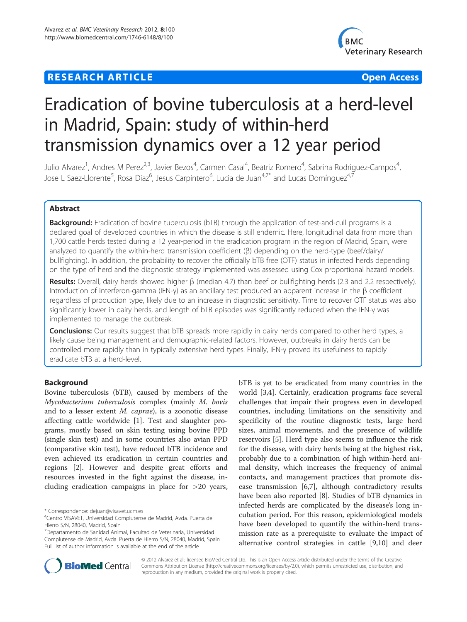# **RESEARCH ARTICLE Example 2014 12:30 The Contract of Contract Contract Contract Contract Contract Contract Contract Contract Contract Contract Contract Contract Contract Contract Contract Contract Contract Contract Contr**



# Eradication of bovine tuberculosis at a herd-level in Madrid, Spain: study of within-herd transmission dynamics over a 12 year period

Julio Alvarez<sup>1</sup>, Andres M Perez<sup>2,3</sup>, Javier Bezos<sup>4</sup>, Carmen Casal<sup>4</sup>, Beatriz Romero<sup>4</sup>, Sabrina Rodriguez-Campos<sup>4</sup> , Jose L Saez-Llorente<sup>5</sup>, Rosa Diaz<sup>6</sup>, Jesus Carpintero<sup>6</sup>, Lucia de Juan<sup>4,7\*</sup> and Lucas Domínguez<sup>4,7</sup>

# Abstract

**Background:** Eradication of bovine tuberculosis (bTB) through the application of test-and-cull programs is a declared goal of developed countries in which the disease is still endemic. Here, longitudinal data from more than 1,700 cattle herds tested during a 12 year-period in the eradication program in the region of Madrid, Spain, were analyzed to quantify the within-herd transmission coefficient (β) depending on the herd-type (beef/dairy/ bullfighting). In addition, the probability to recover the officially bTB free (OTF) status in infected herds depending on the type of herd and the diagnostic strategy implemented was assessed using Cox proportional hazard models.

Results: Overall, dairy herds showed higher  $β$  (median 4.7) than beef or bullfighting herds (2.3 and 2.2 respectively). Introduction of interferon-gamma (IFN-γ) as an ancillary test produced an apparent increase in the β coefficient regardless of production type, likely due to an increase in diagnostic sensitivity. Time to recover OTF status was also significantly lower in dairy herds, and length of bTB episodes was significantly reduced when the IFN-γ was implemented to manage the outbreak.

**Conclusions:** Our results suggest that bTB spreads more rapidly in dairy herds compared to other herd types, a likely cause being management and demographic-related factors. However, outbreaks in dairy herds can be controlled more rapidly than in typically extensive herd types. Finally, IFN-γ proved its usefulness to rapidly eradicate bTB at a herd-level.

# Background

Bovine tuberculosis (bTB), caused by members of the Mycobacterium tuberculosis complex (mainly M. bovis and to a lesser extent M. caprae), is a zoonotic disease affecting cattle worldwide [\[1](#page-7-0)]. Test and slaughter programs, mostly based on skin testing using bovine PPD (single skin test) and in some countries also avian PPD (comparative skin test), have reduced bTB incidence and even achieved its eradication in certain countries and regions [[2](#page-7-0)]. However and despite great efforts and resources invested in the fight against the disease, including eradication campaigns in place for  $>20$  years,

\* Correspondence: [dejuan@visavet.ucm.es](mailto:dejuan@visavet.ucm.es) <sup>4</sup>

bTB is yet to be eradicated from many countries in the world [\[3,4](#page-7-0)]. Certainly, eradication programs face several challenges that impair their progress even in developed countries, including limitations on the sensitivity and specificity of the routine diagnostic tests, large herd sizes, animal movements, and the presence of wildlife reservoirs [[5\]](#page-7-0). Herd type also seems to influence the risk for the disease, with dairy herds being at the highest risk, probably due to a combination of high within-herd animal density, which increases the frequency of animal contacts, and management practices that promote disease transmission [[6,7\]](#page-7-0), although contradictory results have been also reported [\[8](#page-7-0)]. Studies of bTB dynamics in infected herds are complicated by the disease's long incubation period. For this reason, epidemiological models have been developed to quantify the within-herd transmission rate as a prerequisite to evaluate the impact of alternative control strategies in cattle [\[9,10\]](#page-7-0) and deer



© 2012 Alvarez et al.; licensee BioMed Central Ltd. This is an Open Access article distributed under the terms of the Creative Commons Attribution License [\(http://creativecommons.org/licenses/by/2.0\)](http://creativecommons.org/licenses/by/2.0), which permits unrestricted use, distribution, and reproduction in any medium, provided the original work is properly cited.

Centro VISAVET, Universidad Complutense de Madrid, Avda. Puerta de Hierro S/N, 28040, Madrid, Spain

<sup>7</sup> Departamento de Sanidad Animal, Facultad de Veterinaria, Universidad Complutense de Madrid, Avda. Puerta de Hierro S/N, 28040, Madrid, Spain Full list of author information is available at the end of the article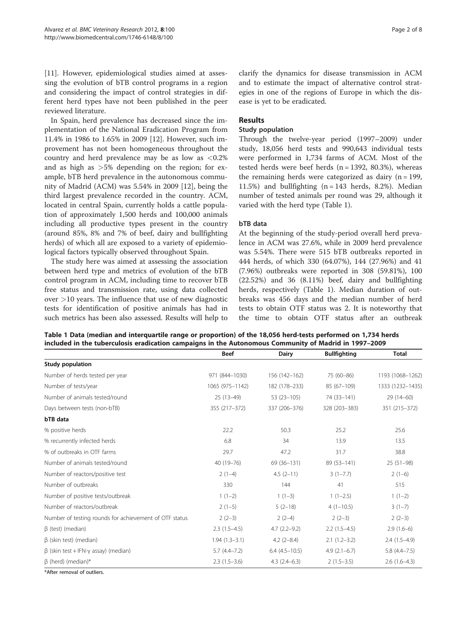<span id="page-1-0"></span>[[11\]](#page-7-0). However, epidemiological studies aimed at assessing the evolution of bTB control programs in a region and considering the impact of control strategies in different herd types have not been published in the peer reviewed literature.

In Spain, herd prevalence has decreased since the implementation of the National Eradication Program from 11.4% in 1986 to 1.65% in 2009 [\[12](#page-7-0)]. However, such improvement has not been homogeneous throughout the country and herd prevalence may be as low as <0.2% and as high as  $>5\%$  depending on the region; for example, bTB herd prevalence in the autonomous community of Madrid (ACM) was 5.54% in 2009 [\[12\]](#page-7-0), being the third largest prevalence recorded in the country. ACM, located in central Spain, currently holds a cattle population of approximately 1,500 herds and 100,000 animals including all productive types present in the country (around 85%, 8% and 7% of beef, dairy and bullfighting herds) of which all are exposed to a variety of epidemiological factors typically observed throughout Spain.

The study here was aimed at assessing the association between herd type and metrics of evolution of the bTB control program in ACM, including time to recover bTB free status and transmission rate, using data collected over  $>10$  years. The influence that use of new diagnostic tests for identification of positive animals has had in such metrics has been also assessed. Results will help to clarify the dynamics for disease transmission in ACM and to estimate the impact of alternative control strategies in one of the regions of Europe in which the disease is yet to be eradicated.

#### Results

#### Study population

Through the twelve-year period (1997–2009) under study, 18,056 herd tests and 990,643 individual tests were performed in 1,734 farms of ACM. Most of the tested herds were beef herds  $(n = 1392, 80.3\%)$ , whereas the remaining herds were categorized as dairy  $(n = 199,$ 11.5%) and bullfighting  $(n = 143$  herds, 8.2%). Median number of tested animals per round was 29, although it varied with the herd type (Table 1).

#### bTB data

At the beginning of the study-period overall herd prevalence in ACM was 27.6%, while in 2009 herd prevalence was 5.54%. There were 515 bTB outbreaks reported in 444 herds, of which 330 (64.07%), 144 (27.96%) and 41 (7.96%) outbreaks were reported in 308 (59.81%), 100 (22.52%) and 36 (8.11%) beef, dairy and bullfighting herds, respectively (Table 1). Median duration of outbreaks was 456 days and the median number of herd tests to obtain OTF status was 2. It is noteworthy that the time to obtain OTF status after an outbreak

Table 1 Data (median and interquartile range or proportion) of the 18,056 herd-tests performed on 1,734 herds included in the tuberculosis eradication campaigns in the Autonomous Community of Madrid in 1997–2009

|                                                        | <b>Beef</b>      | <b>Dairy</b>     | <b>Bullfighting</b> | <b>Total</b>     |
|--------------------------------------------------------|------------------|------------------|---------------------|------------------|
| Study population                                       |                  |                  |                     |                  |
| Number of herds tested per year                        | 971 (844-1030)   | 156 (142-162)    | 75 (60-86)          | 1193 (1068-1262) |
| Number of tests/year                                   | 1065 (975-1142)  | 182 (178-233)    | 85 (67-109)         | 1333 (1232-1435) |
| Number of animals tested/round                         | $25(13-49)$      | $53(23-105)$     | 74 (33-141)         | $29(14-60)$      |
| Days between tests (non-bTB)                           | 355 (217-372)    | 337 (206-376)    | 328 (203-383)       | 351 (215-372)    |
| bTB data                                               |                  |                  |                     |                  |
| % positive herds                                       | 22.2             | 50.3             | 25.2                | 25.6             |
| % recurrently infected herds                           | 6.8              | 34               | 13.9                | 13.5             |
| % of outbreaks in OTF farms                            | 29.7             | 47.2             | 31.7                | 38.8             |
| Number of animals tested/round                         | 40 (19-76)       | 69 (36-131)      | 89 (53-141)         | $25(51-98)$      |
| Number of reactors/positive test                       | $2(1-4)$         | $4.5(2-11)$      | $3(1-7.7)$          | $2(1-6)$         |
| Number of outbreaks                                    | 330              | 144              | 41                  | 515              |
| Number of positive tests/outbreak                      | $1(1-2)$         | $1(1-3)$         | $1(1-2.5)$          | $1(1-2)$         |
| Number of reactors/outbreak                            | $2(1-5)$         | $5(2-18)$        | $4(1-10.5)$         | $3(1-7)$         |
| Number of testing rounds for achievement of OTF status | $2(2-3)$         | $2(2-4)$         | $2(2-3)$            | $2(2-3)$         |
| $\beta$ (test) (median)                                | $2.3(1.5-4.5)$   | $4.7(2.2 - 9.2)$ | $2.2(1.5-4.5)$      | $2.9(1.6-6)$     |
| $\beta$ (skin test) (median)                           | $1.94(1.3-3.1)$  | $4.2$ (2-8.4)    | $2.1(1.2-3.2)$      | $2.4(1.5-4.9)$   |
| $\beta$ (skin test + IFN- $\gamma$ assay) (median)     | $5.7(4.4 - 7.2)$ | $6.4(4.5-10.5)$  | $4.9(2.1-6.7)$      | $5.8(4.4 - 7.5)$ |
| $\beta$ (herd) (median)*                               | $2.3(1.5-3.6)$   | $4.3(2.4-6.3)$   | $2(1.5-3.5)$        | $2.6(1.6-4.3)$   |

\*After removal of outliers.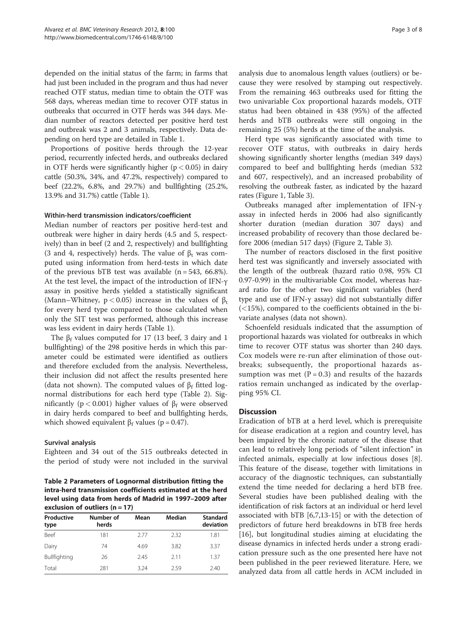depended on the initial status of the farm; in farms that had just been included in the program and thus had never reached OTF status, median time to obtain the OTF was 568 days, whereas median time to recover OTF status in outbreaks that occurred in OTF herds was 344 days. Median number of reactors detected per positive herd test and outbreak was 2 and 3 animals, respectively. Data depending on herd type are detailed in Table [1](#page-1-0).

Proportions of positive herds through the 12-year period, recurrently infected herds, and outbreaks declared in OTF herds were significantly higher ( $p < 0.05$ ) in dairy cattle (50.3%, 34%, and 47.2%, respectively) compared to beef (22.2%, 6.8%, and 29.7%) and bullfighting (25.2%, 13.9% and 31.7%) cattle (Table [1](#page-1-0)).

#### Within-herd transmission indicators/coefficient

Median number of reactors per positive herd-test and outbreak were higher in dairy herds (4.5 and 5, respectively) than in beef (2 and 2, respectively) and bullfighting (3 and 4, respectively) herds. The value of  $\beta_t$  was computed using information from herd-tests in which date of the previous bTB test was available  $(n = 543, 66.8\%).$ At the test level, the impact of the introduction of IFN-γ assay in positive herds yielded a statistically significant (Mann–Whitney,  $p < 0.05$ ) increase in the values of  $\beta_t$ for every herd type compared to those calculated when only the SIT test was performed, although this increase was less evident in dairy herds (Table [1\)](#page-1-0).

The  $\beta_f$  values computed for 17 (13 beef, 3 dairy and 1 bullfighting) of the 298 positive herds in which this parameter could be estimated were identified as outliers and therefore excluded from the analysis. Nevertheless, their inclusion did not affect the results presented here (data not shown). The computed values of  $\beta_f$  fitted lognormal distributions for each herd type (Table 2). Significantly ( $p < 0.001$ ) higher values of  $β<sub>f</sub>$  were observed in dairy herds compared to beef and bullfighting herds, which showed equivalent  $\beta_f$  values (p = 0.47).

#### Survival analysis

Eighteen and 34 out of the 515 outbreaks detected in the period of study were not included in the survival

Table 2 Parameters of Lognormal distribution fitting the intra-herd transmission coefficients estimated at the herd level using data from herds of Madrid in 1997–2009 after exclusion of outliers  $(n = 17)$ 

| Productive<br>type | Number of<br>herds | Mean | Median | Standard<br>deviation |
|--------------------|--------------------|------|--------|-----------------------|
| Beef               | 181                | 2.77 | 2.32   | 1.81                  |
| Dairy              | 74                 | 4.69 | 3.82   | 3.37                  |
| Bullfighting       | 26                 | 2.45 | 211    | 1.37                  |
| Total              | 281                | 3.24 | 259    | 2.40                  |

analysis due to anomalous length values (outliers) or because they were resolved by stamping out respectively. From the remaining 463 outbreaks used for fitting the two univariable Cox proportional hazards models, OTF status had been obtained in 438 (95%) of the affected herds and bTB outbreaks were still ongoing in the remaining 25 (5%) herds at the time of the analysis.

Herd type was significantly associated with time to recover OTF status, with outbreaks in dairy herds showing significantly shorter lengths (median 349 days) compared to beef and bullfighting herds (median 532 and 607, respectively), and an increased probability of resolving the outbreak faster, as indicated by the hazard rates (Figure [1](#page-3-0), Table [3](#page-3-0)).

Outbreaks managed after implementation of IFN-γ assay in infected herds in 2006 had also significantly shorter duration (median duration 307 days) and increased probability of recovery than those declared before 2006 (median 517 days) (Figure [2,](#page-4-0) Table [3](#page-3-0)).

The number of reactors disclosed in the first positive herd test was significantly and inversely associated with the length of the outbreak (hazard ratio 0.98, 95% CI 0.97-0.99) in the multivariable Cox model, whereas hazard ratio for the other two significant variables (herd type and use of IFN-γ assay) did not substantially differ (<15%), compared to the coefficients obtained in the bivariate analyses (data not shown).

Schoenfeld residuals indicated that the assumption of proportional hazards was violated for outbreaks in which time to recover OTF status was shorter than 240 days. Cox models were re-run after elimination of those outbreaks; subsequently, the proportional hazards assumption was met  $(P = 0.3)$  and results of the hazards ratios remain unchanged as indicated by the overlapping 95% CI.

# Discussion

Eradication of bTB at a herd level, which is prerequisite for disease eradication at a region and country level, has been impaired by the chronic nature of the disease that can lead to relatively long periods of "silent infection" in infected animals, especially at low infectious doses [\[8](#page-7-0)]. This feature of the disease, together with limitations in accuracy of the diagnostic techniques, can substantially extend the time needed for declaring a herd bTB free. Several studies have been published dealing with the identification of risk factors at an individual or herd level associated with bTB [[6,7,13-15](#page-7-0)] or with the detection of predictors of future herd breakdowns in bTB free herds [[16\]](#page-7-0), but longitudinal studies aiming at elucidating the disease dynamics in infected herds under a strong eradication pressure such as the one presented here have not been published in the peer reviewed literature. Here, we analyzed data from all cattle herds in ACM included in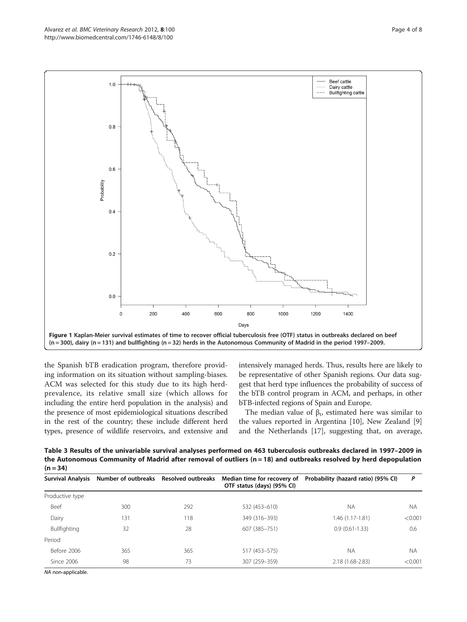<span id="page-3-0"></span>

the Spanish bTB eradication program, therefore providing information on its situation without sampling-biases. ACM was selected for this study due to its high herdprevalence, its relative small size (which allows for including the entire herd population in the analysis) and the presence of most epidemiological situations described in the rest of the country; these include different herd types, presence of wildlife reservoirs, and extensive and intensively managed herds. Thus, results here are likely to be representative of other Spanish regions. Our data suggest that herd type influences the probability of success of the bTB control program in ACM, and perhaps, in other bTB-infected regions of Spain and Europe.

The median value of  $\beta_t$ , estimated here was similar to the values reported in Argentina [\[10\]](#page-7-0), New Zealand [\[9](#page-7-0)] and the Netherlands [\[17\]](#page-7-0), suggesting that, on average,

Table 3 Results of the univariable survival analyses performed on 463 tuberculosis outbreaks declared in 1997–2009 in the Autonomous Community of Madrid after removal of outliers (n = 18) and outbreaks resolved by herd depopulation  $(n = 34)$ 

| <b>Survival Analysis</b> | Number of outbreaks | <b>Resolved outbreaks</b> | Median time for recovery of<br>OTF status (days) (95% CI) | Probability (hazard ratio) (95% CI) | P         |
|--------------------------|---------------------|---------------------------|-----------------------------------------------------------|-------------------------------------|-----------|
| Productive type          |                     |                           |                                                           |                                     |           |
| Beef                     | 300                 | 292                       | 532 (453-610)                                             | <b>NA</b>                           | <b>NA</b> |
| Dairy                    | 131                 | 118                       | 349 (316-393)                                             | 1.46 (1.17-1.81)                    | < 0.001   |
| Bullfighting             | 32                  | 28                        | 607 (385-751)                                             | $0.9(0.61-1.33)$                    | 0.6       |
| Period                   |                     |                           |                                                           |                                     |           |
| Before 2006              | 365                 | 365                       | 517 (453-575)                                             | <b>NA</b>                           | <b>NA</b> |
| Since 2006               | 98                  | 73                        | 307 (259-359)                                             | 2.18 (1.68-2.83)                    | < 0.001   |

NA non-applicable.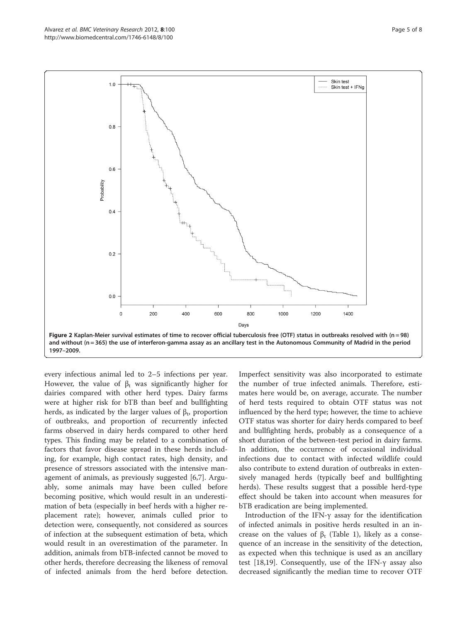<span id="page-4-0"></span>

every infectious animal led to 2–5 infections per year. However, the value of  $\beta_t$  was significantly higher for dairies compared with other herd types. Dairy farms were at higher risk for bTB than beef and bullfighting herds, as indicated by the larger values of  $\beta_t$ , proportion of outbreaks, and proportion of recurrently infected farms observed in dairy herds compared to other herd types. This finding may be related to a combination of factors that favor disease spread in these herds including, for example, high contact rates, high density, and presence of stressors associated with the intensive management of animals, as previously suggested [[6,7\]](#page-7-0). Arguably, some animals may have been culled before becoming positive, which would result in an underestimation of beta (especially in beef herds with a higher replacement rate); however, animals culled prior to detection were, consequently, not considered as sources of infection at the subsequent estimation of beta, which would result in an overestimation of the parameter. In addition, animals from bTB-infected cannot be moved to other herds, therefore decreasing the likeness of removal of infected animals from the herd before detection.

Imperfect sensitivity was also incorporated to estimate the number of true infected animals. Therefore, estimates here would be, on average, accurate. The number of herd tests required to obtain OTF status was not influenced by the herd type; however, the time to achieve OTF status was shorter for dairy herds compared to beef and bullfighting herds, probably as a consequence of a short duration of the between-test period in dairy farms. In addition, the occurrence of occasional individual infections due to contact with infected wildlife could also contribute to extend duration of outbreaks in extensively managed herds (typically beef and bullfighting herds). These results suggest that a possible herd-type effect should be taken into account when measures for bTB eradication are being implemented.

Introduction of the IFN-γ assay for the identification of infected animals in positive herds resulted in an increase on the values of  $β_t$  (Table [1\)](#page-1-0), likely as a consequence of an increase in the sensitivity of the detection, as expected when this technique is used as an ancillary test [[18,19\]](#page-7-0). Consequently, use of the IFN-γ assay also decreased significantly the median time to recover OTF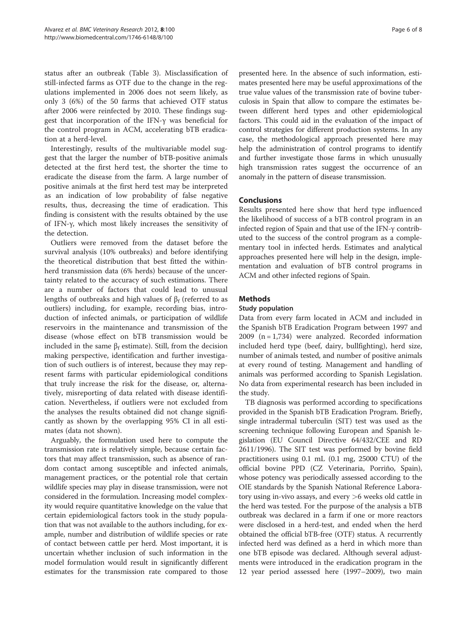status after an outbreak (Table [3\)](#page-3-0). Misclassification of still-infected farms as OTF due to the change in the regulations implemented in 2006 does not seem likely, as only 3 (6%) of the 50 farms that achieved OTF status after 2006 were reinfected by 2010. These findings suggest that incorporation of the IFN-γ was beneficial for the control program in ACM, accelerating bTB eradication at a herd-level.

Interestingly, results of the multivariable model suggest that the larger the number of bTB-positive animals detected at the first herd test, the shorter the time to eradicate the disease from the farm. A large number of positive animals at the first herd test may be interpreted as an indication of low probability of false negative results, thus, decreasing the time of eradication. This finding is consistent with the results obtained by the use of IFN-γ, which most likely increases the sensitivity of the detection.

Outliers were removed from the dataset before the survival analysis (10% outbreaks) and before identifying the theoretical distribution that best fitted the withinherd transmission data (6% herds) because of the uncertainty related to the accuracy of such estimations. There are a number of factors that could lead to unusual lengths of outbreaks and high values of  $\beta_f$  (referred to as outliers) including, for example, recording bias, introduction of infected animals, or participation of wildlife reservoirs in the maintenance and transmission of the disease (whose effect on bTB transmission would be included in the same  $β<sub>f</sub>$  estimate). Still, from the decision making perspective, identification and further investigation of such outliers is of interest, because they may represent farms with particular epidemiological conditions that truly increase the risk for the disease, or, alternatively, misreporting of data related with disease identification. Nevertheless, if outliers were not excluded from the analyses the results obtained did not change significantly as shown by the overlapping 95% CI in all estimates (data not shown).

Arguably, the formulation used here to compute the transmission rate is relatively simple, because certain factors that may affect transmission, such as absence of random contact among susceptible and infected animals, management practices, or the potential role that certain wildlife species may play in disease transmission, were not considered in the formulation. Increasing model complexity would require quantitative knowledge on the value that certain epidemiological factors took in the study population that was not available to the authors including, for example, number and distribution of wildlife species or rate of contact between cattle per herd. Most important, it is uncertain whether inclusion of such information in the model formulation would result in significantly different estimates for the transmission rate compared to those

presented here. In the absence of such information, estimates presented here may be useful approximations of the true value values of the transmission rate of bovine tuberculosis in Spain that allow to compare the estimates between different herd types and other epidemiological factors. This could aid in the evaluation of the impact of control strategies for different production systems. In any case, the methodological approach presented here may help the administration of control programs to identify and further investigate those farms in which unusually high transmission rates suggest the occurrence of an anomaly in the pattern of disease transmission.

# Conclusions

Results presented here show that herd type influenced the likelihood of success of a bTB control program in an infected region of Spain and that use of the IFN-γ contributed to the success of the control program as a complementary tool in infected herds. Estimates and analytical approaches presented here will help in the design, implementation and evaluation of bTB control programs in ACM and other infected regions of Spain.

#### **Methods**

#### Study population

Data from every farm located in ACM and included in the Spanish bTB Eradication Program between 1997 and 2009 (n = 1,734) were analyzed. Recorded information included herd type (beef, dairy, bullfighting), herd size, number of animals tested, and number of positive animals at every round of testing. Management and handling of animals was performed according to Spanish Legislation. No data from experimental research has been included in the study.

TB diagnosis was performed according to specifications provided in the Spanish bTB Eradication Program. Briefly, single intradermal tuberculin (SIT) test was used as the screening technique following European and Spanish legislation (EU Council Directive 64/432/CEE and RD 2611/1996). The SIT test was performed by bovine field practitioners using 0.1 mL (0.1 mg, 25000 CTU) of the official bovine PPD (CZ Veterinaria, Porriño, Spain), whose potency was periodically assessed according to the OIE standards by the Spanish National Reference Laboratory using in-vivo assays, and every >6 weeks old cattle in the herd was tested. For the purpose of the analysis a bTB outbreak was declared in a farm if one or more reactors were disclosed in a herd-test, and ended when the herd obtained the official bTB-free (OTF) status. A recurrently infected herd was defined as a herd in which more than one bTB episode was declared. Although several adjustments were introduced in the eradication program in the 12 year period assessed here (1997–2009), two main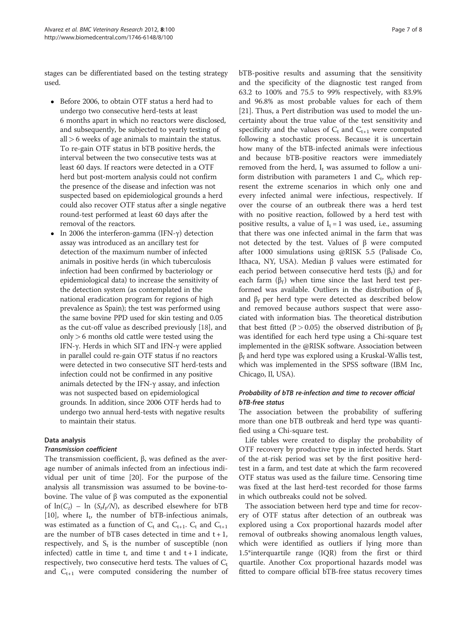stages can be differentiated based on the testing strategy used.

- Before 2006, to obtain OTF status a herd had to undergo two consecutive herd-tests at least 6 months apart in which no reactors were disclosed, and subsequently, be subjected to yearly testing of  $all > 6$  weeks of age animals to maintain the status. To re-gain OTF status in bTB positive herds, the interval between the two consecutive tests was at least 60 days. If reactors were detected in a OTF herd but post-mortem analysis could not confirm the presence of the disease and infection was not suspected based on epidemiological grounds a herd could also recover OTF status after a single negative round-test performed at least 60 days after the removal of the reactors.
- In 2006 the interferon-gamma (IFN-γ) detection assay was introduced as an ancillary test for detection of the maximum number of infected animals in positive herds (in which tuberculosis infection had been confirmed by bacteriology or epidemiological data) to increase the sensitivity of the detection system (as contemplated in the national eradication program for regions of high prevalence as Spain); the test was performed using the same bovine PPD used for skin testing and 0.05 as the cut-off value as described previously [\[18\]](#page-7-0), and  $only > 6$  months old cattle were tested using the IFN-γ. Herds in which SIT and IFN-γ were applied in parallel could re-gain OTF status if no reactors were detected in two consecutive SIT herd-tests and infection could not be confirmed in any positive animals detected by the IFN-γ assay, and infection was not suspected based on epidemiological grounds. In addition, since 2006 OTF herds had to undergo two annual herd-tests with negative results to maintain their status.

# Data analysis

# Transmission coefficient

The transmission coefficient, β, was defined as the average number of animals infected from an infectious individual per unit of time [[20\]](#page-7-0). For the purpose of the analysis all transmission was assumed to be bovine-tobovine. The value of β was computed as the exponential of  $ln(C_t)$  – ln (S<sub>t</sub>I<sub>t</sub>/N), as described elsewhere for bTB [[10\]](#page-7-0), where  $I_t$ , the number of bTB-infectious animals, was estimated as a function of  $C_t$  and  $C_{t+1}$ .  $C_t$  and  $C_{t+1}$ are the number of  $bTB$  cases detected in time and  $t + 1$ , respectively, and  $S_t$  is the number of susceptible (non infected) cattle in time t, and time t and  $t+1$  indicate, respectively, two consecutive herd tests. The values of  $C_t$ and  $C_{t+1}$  were computed considering the number of bTB-positive results and assuming that the sensitivity and the specificity of the diagnostic test ranged from 63.2 to 100% and 75.5 to 99% respectively, with 83.9% and 96.8% as most probable values for each of them [[21\]](#page-7-0). Thus, a Pert distribution was used to model the uncertainty about the true value of the test sensitivity and specificity and the values of  $C_t$  and  $C_{t+1}$  were computed following a stochastic process. Because it is uncertain how many of the bTB-infected animals were infectious and because bTB-positive reactors were immediately removed from the herd,  $I_t$  was assumed to follow a uniform distribution with parameters 1 and  $C_t$ , which represent the extreme scenarios in which only one and every infected animal were infectious, respectively. If over the course of an outbreak there was a herd test with no positive reaction, followed by a herd test with positive results, a value of  $I_t = 1$  was used, i.e., assuming that there was one infected animal in the farm that was not detected by the test. Values of β were computed after 1000 simulations using @RISK 5.5 (Palisade Co, Ithaca, NY, USA). Median β values were estimated for each period between consecutive herd tests  $(\beta_t)$  and for each farm  $(\beta_f)$  when time since the last herd test performed was available. Outliers in the distribution of  $\beta_t$ and  $\beta_f$  per herd type were detected as described below and removed because authors suspect that were associated with information bias. The theoretical distribution that best fitted (P > 0.05) the observed distribution of  $β<sub>f</sub>$ was identified for each herd type using a Chi-square test implemented in the @RISK software. Association between  $\beta_f$  and herd type was explored using a Kruskal-Wallis test, which was implemented in the SPSS software (IBM Inc, Chicago, Il, USA).

# Probability of bTB re-infection and time to recover official bTB-free status

The association between the probability of suffering more than one bTB outbreak and herd type was quantified using a Chi-square test.

Life tables were created to display the probability of OTF recovery by productive type in infected herds. Start of the at-risk period was set by the first positive herdtest in a farm, and test date at which the farm recovered OTF status was used as the failure time. Censoring time was fixed at the last herd-test recorded for those farms in which outbreaks could not be solved.

The association between herd type and time for recovery of OTF status after detection of an outbreak was explored using a Cox proportional hazards model after removal of outbreaks showing anomalous length values, which were identified as outliers if lying more than 1.5\*interquartile range (IQR) from the first or third quartile. Another Cox proportional hazards model was fitted to compare official bTB-free status recovery times